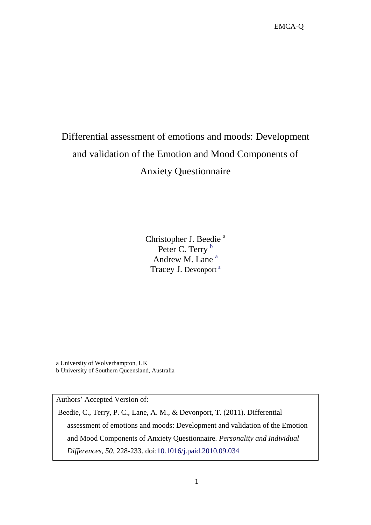# Differential assessment of emotions and moods: Development and validation of the Emotion and Mood Components of Anxiety Questionnaire

Christopher J. Beedie<sup>a</sup> Peter C. Terry b Andrew M. Lane<sup>a</sup> Tracey J. Devonport<sup>a</sup>

a University of Wolverhampton, UK b University of Southern Queensland, Australia

Authors" Accepted Version of:

Beedie, C., Terry, P. C., Lane, A. M., & Devonport, T. (2011). Differential assessment of emotions and moods: Development and validation of the Emotion and Mood Components of Anxiety Questionnaire. *Personality and Individual Differences, 50,* 228-233. doi:10.1016/j.paid.2010.09.034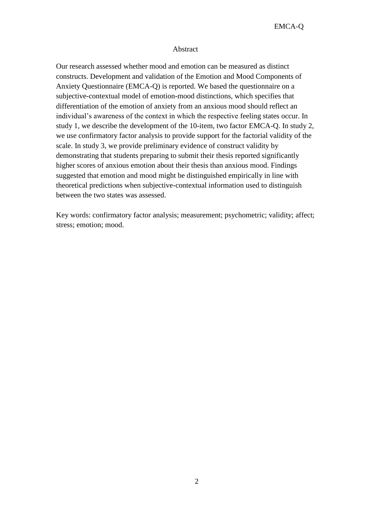## Abstract

Our research assessed whether mood and emotion can be measured as distinct constructs. Development and validation of the Emotion and Mood Components of Anxiety Questionnaire (EMCA-Q) is reported. We based the questionnaire on a subjective-contextual model of emotion-mood distinctions, which specifies that differentiation of the emotion of anxiety from an anxious mood should reflect an individual's awareness of the context in which the respective feeling states occur. In study 1, we describe the development of the 10-item, two factor EMCA-Q. In study 2, we use confirmatory factor analysis to provide support for the factorial validity of the scale. In study 3, we provide preliminary evidence of construct validity by demonstrating that students preparing to submit their thesis reported significantly higher scores of anxious emotion about their thesis than anxious mood. Findings suggested that emotion and mood might be distinguished empirically in line with theoretical predictions when subjective-contextual information used to distinguish between the two states was assessed.

Key words: confirmatory factor analysis; measurement; psychometric; validity; affect; stress; emotion; mood.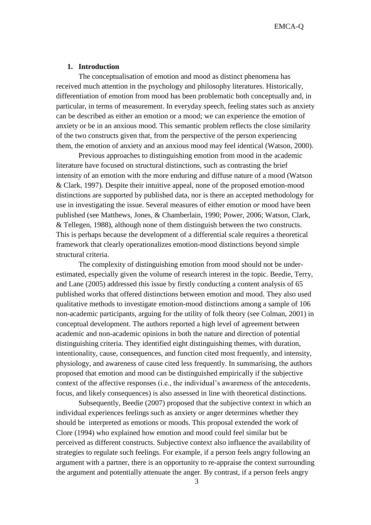#### **1. Introduction**

The conceptualisation of emotion and mood as distinct phenomena has received much attention in the psychology and philosophy literatures. Historically, differentiation of emotion from mood has been problematic both conceptually and, in particular, in terms of measurement. In everyday speech, feeling states such as anxiety can be described as either an emotion or a mood; we can experience the emotion of anxiety or be in an anxious mood. This semantic problem reflects the close similarity of the two constructs given that, from the perspective of the person experiencing them, the emotion of anxiety and an anxious mood may feel identical (Watson, 2000).

Previous approaches to distinguishing emotion from mood in the academic literature have focused on structural distinctions, such as contrasting the brief intensity of an emotion with the more enduring and diffuse nature of a mood (Watson & Clark, 1997). Despite their intuitive appeal, none of the proposed emotion-mood distinctions are supported by published data, nor is there an accepted methodology for use in investigating the issue. Several measures of either emotion *or* mood have been published (see Matthews, Jones, & Chamberlain, 1990; Power, 2006; Watson, Clark, & Tellegen, 1988), although none of them distinguish between the two constructs. This is perhaps because the development of a differential scale requires a theoretical framework that clearly operationalizes emotion-mood distinctions beyond simple structural criteria.

The complexity of distinguishing emotion from mood should not be underestimated, especially given the volume of research interest in the topic. Beedie, Terry, and Lane (2005) addressed this issue by firstly conducting a content analysis of 65 published works that offered distinctions between emotion and mood. They also used qualitative methods to investigate emotion-mood distinctions among a sample of 106 non-academic participants, arguing for the utility of folk theory (see Colman, 2001) in conceptual development. The authors reported a high level of agreement between academic and non-academic opinions in both the nature and direction of potential distinguishing criteria. They identified eight distinguishing themes, with duration, intentionality, cause, consequences, and function cited most frequently, and intensity, physiology, and awareness of cause cited less frequently. In summarising, the authors proposed that emotion and mood can be distinguished empirically if the subjective context of the affective responses (i.e., the individual"s awareness of the antecedents, focus, and likely consequences) is also assessed in line with theoretical distinctions.

Subsequently, Beedie (2007) proposed that the subjective context in which an individual experiences feelings such as anxiety or anger determines whether they should be interpreted as emotions or moods. This proposal extended the work of Clore (1994) who explained how emotion and mood could feel similar but be perceived as different constructs. Subjective context also influence the availability of strategies to regulate such feelings. For example, if a person feels angry following an argument with a partner, there is an opportunity to re-appraise the context surrounding the argument and potentially attenuate the anger. By contrast, if a person feels angry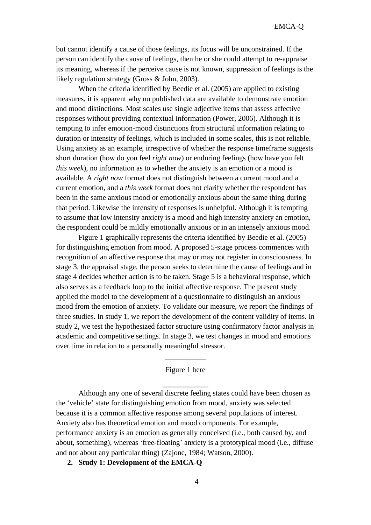but cannot identify a cause of those feelings, its focus will be unconstrained. If the person can identify the cause of feelings, then he or she could attempt to re-appraise its meaning, whereas if the perceive cause is not known, suppression of feelings is the likely regulation strategy (Gross & John, 2003).

When the criteria identified by Beedie et al. (2005) are applied to existing measures, it is apparent why no published data are available to demonstrate emotion and mood distinctions. Most scales use single adjective items that assess affective responses without providing contextual information (Power, 2006). Although it is tempting to infer emotion-mood distinctions from structural information relating to duration or intensity of feelings, which is included in some scales, this is not reliable. Using anxiety as an example, irrespective of whether the response timeframe suggests short duration (how do you feel *right now*) or enduring feelings (how have you felt *this week*), no information as to whether the anxiety is an emotion or a mood is available. A *right now* format does not distinguish between a current mood and a current emotion, and a *this week* format does not clarify whether the respondent has been in the same anxious mood or emotionally anxious about the same thing during that period. Likewise the intensity of responses is unhelpful. Although it is tempting to assume that low intensity anxiety is a mood and high intensity anxiety an emotion, the respondent could be mildly emotionally anxious or in an intensely anxious mood.

Figure 1 graphically represents the criteria identified by Beedie et al. (2005) for distinguishing emotion from mood. A proposed 5-stage process commences with recognition of an affective response that may or may not register in consciousness. In stage 3, the appraisal stage, the person seeks to determine the cause of feelings and in stage 4 decides whether action is to be taken. Stage 5 is a behavioral response, which also serves as a feedback loop to the initial affective response. The present study applied the model to the development of a questionnaire to distinguish an anxious mood from the emotion of anxiety. To validate our measure, we report the findings of three studies. In study 1, we report the development of the content validity of items. In study 2, we test the hypothesized factor structure using confirmatory factor analysis in academic and competitive settings. In stage 3, we test changes in mood and emotions over time in relation to a personally meaningful stressor.

#### Figure 1 here

\_\_\_\_\_\_\_\_\_\_\_

 $\overline{\phantom{a}}$ 

Although any one of several discrete feeling states could have been chosen as the "vehicle" state for distinguishing emotion from mood, anxiety was selected because it is a common affective response among several populations of interest. Anxiety also has theoretical emotion and mood components. For example, performance anxiety is an emotion as generally conceived (i.e., both caused by, and about, something), whereas 'free-floating' anxiety is a prototypical mood (i.e., diffuse and not about any particular thing) (Zajonc, 1984; Watson, 2000).

# **2. Study 1: Development of the EMCA-Q**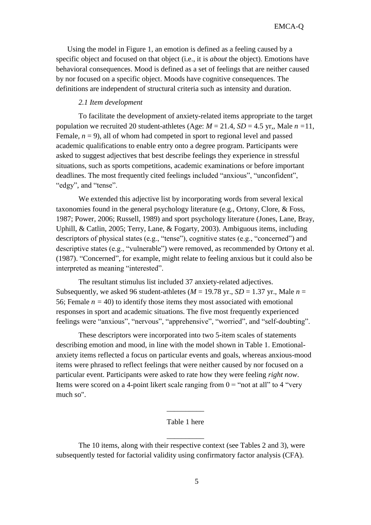Using the model in Figure 1, an emotion is defined as a feeling caused by a specific object and focused on that object (i.e., it is *about* the object). Emotions have behavioral consequences. Mood is defined as a set of feelings that are neither caused by nor focused on a specific object. Moods have cognitive consequences. The definitions are independent of structural criteria such as intensity and duration.

## *2.1 Item development*

To facilitate the development of anxiety-related items appropriate to the target population we recruited 20 student-athletes (Age:  $M = 21.4$ ,  $SD = 4.5$  yr,, Male  $n = 11$ , Female,  $n = 9$ ), all of whom had competed in sport to regional level and passed academic qualifications to enable entry onto a degree program. Participants were asked to suggest adjectives that best describe feelings they experience in stressful situations, such as sports competitions, academic examinations or before important deadlines. The most frequently cited feelings included "anxious", "unconfident", "edgy", and "tense".

We extended this adjective list by incorporating words from several lexical taxonomies found in the general psychology literature (e.g., Ortony, Clore, & Foss, 1987; Power, 2006; Russell, 1989) and sport psychology literature (Jones, Lane, Bray, Uphill, & Catlin, 2005; Terry, Lane, & Fogarty, 2003). Ambiguous items, including descriptors of physical states (e.g., "tense"), cognitive states (e.g., "concerned") and descriptive states (e.g., "vulnerable") were removed, as recommended by Ortony et al. (1987). "Concerned", for example, might relate to feeling anxious but it could also be interpreted as meaning "interested".

The resultant stimulus list included 37 anxiety-related adjectives. Subsequently, we asked 96 student-athletes ( $M = 19.78$  yr.,  $SD = 1.37$  yr., Male  $n =$ 56; Female  $n = 40$ ) to identify those items they most associated with emotional responses in sport and academic situations. The five most frequently experienced feelings were "anxious", "nervous", "apprehensive", "worried", and "self-doubting".

These descriptors were incorporated into two 5-item scales of statements describing emotion and mood, in line with the model shown in Table 1. Emotionalanxiety items reflected a focus on particular events and goals, whereas anxious-mood items were phrased to reflect feelings that were neither caused by nor focused on a particular event. Participants were asked to rate how they were feeling *right now*. Items were scored on a 4-point likert scale ranging from  $0 =$  "not at all" to 4 "very much so".

## Table 1 here

 $\overline{\phantom{a}}$ 

\_\_\_\_\_\_\_\_\_\_

The 10 items, along with their respective context (see Tables 2 and 3), were subsequently tested for factorial validity using confirmatory factor analysis (CFA).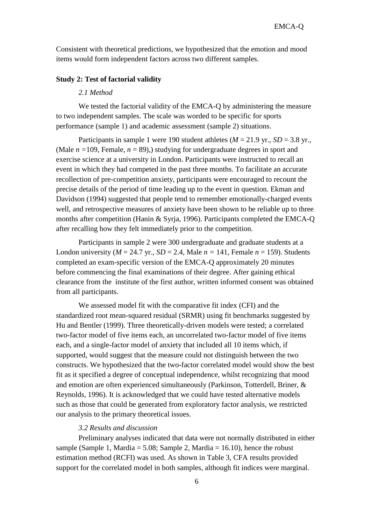Consistent with theoretical predictions, we hypothesized that the emotion and mood items would form independent factors across two different samples.

#### **Study 2: Test of factorial validity**

#### *2.1 Method*

We tested the factorial validity of the EMCA-O by administering the measure to two independent samples. The scale was worded to be specific for sports performance (sample 1) and academic assessment (sample 2) situations.

Participants in sample 1 were 190 student athletes ( $M = 21.9$  yr.,  $SD = 3.8$  yr., (Male  $n = 109$ , Female,  $n = 89$ ),) studying for undergraduate degrees in sport and exercise science at a university in London. Participants were instructed to recall an event in which they had competed in the past three months. To facilitate an accurate recollection of pre-competition anxiety, participants were encouraged to recount the precise details of the period of time leading up to the event in question. Ekman and Davidson (1994) suggested that people tend to remember emotionally-charged events well, and retrospective measures of anxiety have been shown to be reliable up to three months after competition (Hanin & Syrja, 1996). Participants completed the EMCA-Q after recalling how they felt immediately prior to the competition.

Participants in sample 2 were 300 undergraduate and graduate students at a London university ( $M = 24.7$  yr.,  $SD = 2.4$ , Male  $n = 141$ , Female  $n = 159$ ). Students completed an exam-specific version of the EMCA-Q approximately 20 minutes before commencing the final examinations of their degree. After gaining ethical clearance from the institute of the first author, written informed consent was obtained from all participants.

We assessed model fit with the comparative fit index (CFI) and the standardized root mean-squared residual (SRMR) using fit benchmarks suggested by Hu and Bentler (1999). Three theoretically-driven models were tested; a correlated two-factor model of five items each, an uncorrelated two-factor model of five items each, and a single-factor model of anxiety that included all 10 items which, if supported, would suggest that the measure could not distinguish between the two constructs. We hypothesized that the two-factor correlated model would show the best fit as it specified a degree of conceptual independence, whilst recognizing that mood and emotion are often experienced simultaneously (Parkinson, Totterdell, Briner, & Reynolds, 1996). It is acknowledged that we could have tested alternative models such as those that could be generated from exploratory factor analysis, we restricted our analysis to the primary theoretical issues.

## *3.2 Results and discussion*

Preliminary analyses indicated that data were not normally distributed in either sample (Sample 1, Mardia = 5.08; Sample 2, Mardia = 16.10), hence the robust estimation method (RCFI) was used. As shown in Table 3, CFA results provided support for the correlated model in both samples, although fit indices were marginal.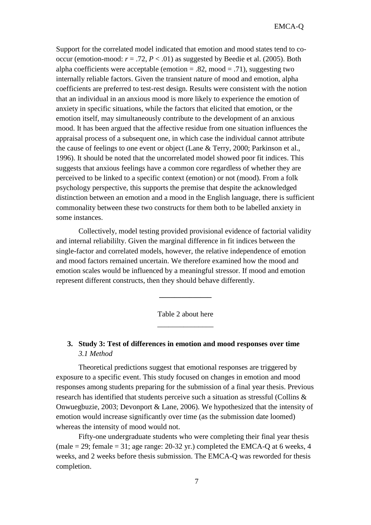Support for the correlated model indicated that emotion and mood states tend to cooccur (emotion-mood:  $r = .72$ ,  $P < .01$ ) as suggested by Beedie et al. (2005). Both alpha coefficients were acceptable (emotion  $= .82$ , mood  $= .71$ ), suggesting two internally reliable factors. Given the transient nature of mood and emotion, alpha coefficients are preferred to test-rest design. Results were consistent with the notion that an individual in an anxious mood is more likely to experience the emotion of anxiety in specific situations, while the factors that elicited that emotion, or the emotion itself, may simultaneously contribute to the development of an anxious mood. It has been argued that the affective residue from one situation influences the appraisal process of a subsequent one, in which case the individual cannot attribute the cause of feelings to one event or object (Lane & Terry, 2000; Parkinson et al., 1996). It should be noted that the uncorrelated model showed poor fit indices. This suggests that anxious feelings have a common core regardless of whether they are perceived to be linked to a specific context (emotion) or not (mood). From a folk psychology perspective, this supports the premise that despite the acknowledged distinction between an emotion and a mood in the English language, there is sufficient commonality between these two constructs for them both to be labelled anxiety in some instances.

Collectively, model testing provided provisional evidence of factorial validity and internal reliabililty. Given the marginal difference in fit indices between the single-factor and correlated models, however, the relative independence of emotion and mood factors remained uncertain. We therefore examined how the mood and emotion scales would be influenced by a meaningful stressor. If mood and emotion represent different constructs, then they should behave differently.

# Table 2 about here \_\_\_\_\_\_\_\_\_\_\_\_\_\_\_

**\_\_\_\_\_\_\_\_\_\_\_\_\_\_**

# **3. Study 3: Test of differences in emotion and mood responses over time** *3.1 Method*

Theoretical predictions suggest that emotional responses are triggered by exposure to a specific event. This study focused on changes in emotion and mood responses among students preparing for the submission of a final year thesis. Previous research has identified that students perceive such a situation as stressful (Collins & Onwuegbuzie, 2003; Devonport & Lane, 2006). We hypothesized that the intensity of emotion would increase significantly over time (as the submission date loomed) whereas the intensity of mood would not.

Fifty-one undergraduate students who were completing their final year thesis (male = 29; female = 31; age range: 20-32 yr.) completed the EMCA-Q at 6 weeks, 4 weeks, and 2 weeks before thesis submission. The EMCA-Q was reworded for thesis completion.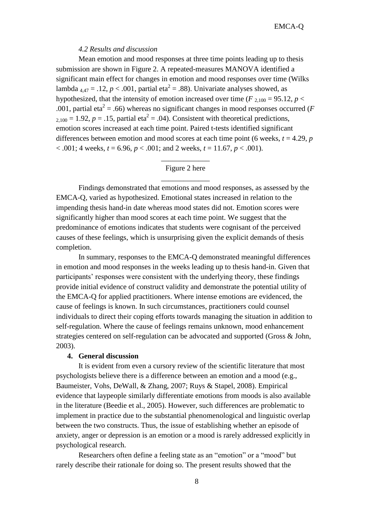#### *4.2 Results and discussion*

Mean emotion and mood responses at three time points leading up to thesis submission are shown in Figure 2. A repeated-measures MANOVA identified a significant main effect for changes in emotion and mood responses over time (Wilks lambda  $_{4,47} = .12, p < .001$ , partial eta<sup>2</sup> = .88). Univariate analyses showed, as hypothesized, that the intensity of emotion increased over time ( $F_{2,100} = 95.12$ ,  $p <$ .001, partial eta<sup>2</sup> = .66) whereas no significant changes in mood responses occurred ( $F$  $_{2,100}$  = 1.92,  $p = .15$ , partial eta<sup>2</sup> = .04). Consistent with theoretical predictions, emotion scores increased at each time point. Paired t-tests identified significant differences between emotion and mood scores at each time point (6 weeks, *t* = 4.29, *p*  $< .001$ ; 4 weeks,  $t = 6.96$ ,  $p < .001$ ; and 2 weeks,  $t = 11.67$ ,  $p < .001$ ).

# \_\_\_\_\_\_\_\_\_\_\_\_\_ Figure 2 here \_\_\_\_\_\_\_\_\_\_\_\_\_

Findings demonstrated that emotions and mood responses, as assessed by the EMCA-Q, varied as hypothesized. Emotional states increased in relation to the impending thesis hand-in date whereas mood states did not. Emotion scores were significantly higher than mood scores at each time point. We suggest that the predominance of emotions indicates that students were cognisant of the perceived causes of these feelings, which is unsurprising given the explicit demands of thesis completion.

In summary, responses to the EMCA-Q demonstrated meaningful differences in emotion and mood responses in the weeks leading up to thesis hand-in. Given that participants' responses were consistent with the underlying theory, these findings provide initial evidence of construct validity and demonstrate the potential utility of the EMCA-Q for applied practitioners. Where intense emotions are evidenced, the cause of feelings is known. In such circumstances, practitioners could counsel individuals to direct their coping efforts towards managing the situation in addition to self-regulation. Where the cause of feelings remains unknown, mood enhancement strategies centered on self-regulation can be advocated and supported (Gross & John, 2003).

#### **4. General discussion**

It is evident from even a cursory review of the scientific literature that most psychologists believe there is a difference between an emotion and a mood (e.g., Baumeister, Vohs, DeWall, & Zhang, 2007; Ruys & Stapel, 2008). Empirical evidence that laypeople similarly differentiate emotions from moods is also available in the literature (Beedie et al., 2005). However, such differences are problematic to implement in practice due to the substantial phenomenological and linguistic overlap between the two constructs. Thus, the issue of establishing whether an episode of anxiety, anger or depression is an emotion or a mood is rarely addressed explicitly in psychological research.

Researchers often define a feeling state as an "emotion" or a "mood" but rarely describe their rationale for doing so. The present results showed that the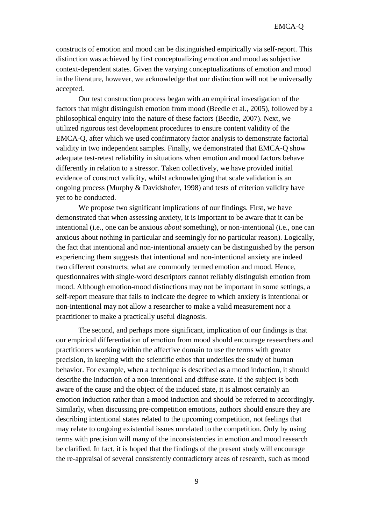constructs of emotion and mood can be distinguished empirically via self-report. This distinction was achieved by first conceptualizing emotion and mood as subjective context-dependent states. Given the varying conceptualizations of emotion and mood in the literature, however, we acknowledge that our distinction will not be universally accepted.

Our test construction process began with an empirical investigation of the factors that might distinguish emotion from mood (Beedie et al., 2005), followed by a philosophical enquiry into the nature of these factors (Beedie, 2007). Next, we utilized rigorous test development procedures to ensure content validity of the EMCA-Q, after which we used confirmatory factor analysis to demonstrate factorial validity in two independent samples. Finally, we demonstrated that EMCA-Q show adequate test-retest reliability in situations when emotion and mood factors behave differently in relation to a stressor. Taken collectively, we have provided initial evidence of construct validity, whilst acknowledging that scale validation is an ongoing process (Murphy & Davidshofer, 1998) and tests of criterion validity have yet to be conducted.

We propose two significant implications of our findings. First, we have demonstrated that when assessing anxiety, it is important to be aware that it can be intentional (i.e., one can be anxious *about* something), or non-intentional (i.e., one can anxious about nothing in particular and seemingly for no particular reason). Logically, the fact that intentional and non-intentional anxiety can be distinguished by the person experiencing them suggests that intentional and non-intentional anxiety are indeed two different constructs; what are commonly termed emotion and mood. Hence, questionnaires with single-word descriptors cannot reliably distinguish emotion from mood. Although emotion-mood distinctions may not be important in some settings, a self-report measure that fails to indicate the degree to which anxiety is intentional or non-intentional may not allow a researcher to make a valid measurement nor a practitioner to make a practically useful diagnosis.

The second, and perhaps more significant, implication of our findings is that our empirical differentiation of emotion from mood should encourage researchers and practitioners working within the affective domain to use the terms with greater precision, in keeping with the scientific ethos that underlies the study of human behavior. For example, when a technique is described as a mood induction, it should describe the induction of a non-intentional and diffuse state. If the subject is both aware of the cause and the object of the induced state, it is almost certainly an emotion induction rather than a mood induction and should be referred to accordingly. Similarly, when discussing pre-competition emotions, authors should ensure they are describing intentional states related to the upcoming competition, not feelings that may relate to ongoing existential issues unrelated to the competition. Only by using terms with precision will many of the inconsistencies in emotion and mood research be clarified. In fact, it is hoped that the findings of the present study will encourage the re-appraisal of several consistently contradictory areas of research, such as mood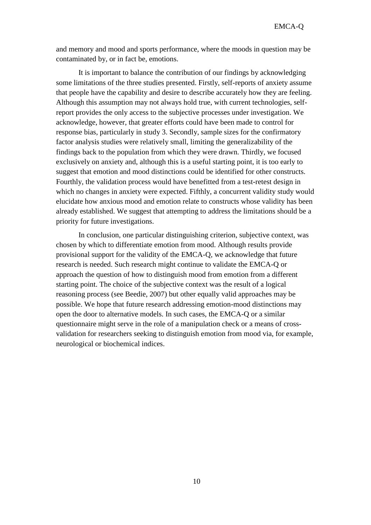and memory and mood and sports performance, where the moods in question may be contaminated by, or in fact be, emotions.

It is important to balance the contribution of our findings by acknowledging some limitations of the three studies presented. Firstly, self-reports of anxiety assume that people have the capability and desire to describe accurately how they are feeling. Although this assumption may not always hold true, with current technologies, selfreport provides the only access to the subjective processes under investigation. We acknowledge, however, that greater efforts could have been made to control for response bias, particularly in study 3. Secondly, sample sizes for the confirmatory factor analysis studies were relatively small, limiting the generalizability of the findings back to the population from which they were drawn. Thirdly, we focused exclusively on anxiety and, although this is a useful starting point, it is too early to suggest that emotion and mood distinctions could be identified for other constructs. Fourthly, the validation process would have benefitted from a test-retest design in which no changes in anxiety were expected. Fifthly, a concurrent validity study would elucidate how anxious mood and emotion relate to constructs whose validity has been already established. We suggest that attempting to address the limitations should be a priority for future investigations.

In conclusion, one particular distinguishing criterion, subjective context, was chosen by which to differentiate emotion from mood. Although results provide provisional support for the validity of the EMCA-Q, we acknowledge that future research is needed. Such research might continue to validate the EMCA-Q or approach the question of how to distinguish mood from emotion from a different starting point. The choice of the subjective context was the result of a logical reasoning process (see Beedie, 2007) but other equally valid approaches may be possible. We hope that future research addressing emotion-mood distinctions may open the door to alternative models. In such cases, the EMCA-Q or a similar questionnaire might serve in the role of a manipulation check or a means of crossvalidation for researchers seeking to distinguish emotion from mood via, for example, neurological or biochemical indices.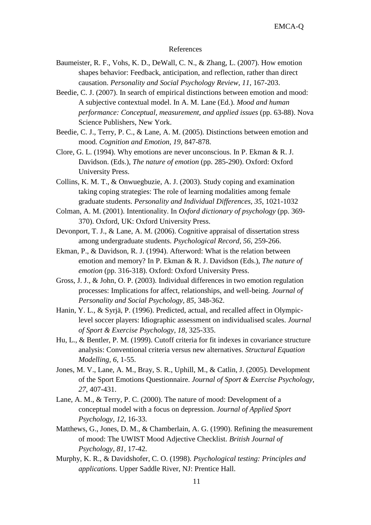#### References

- Baumeister, R. F., Vohs, K. D., DeWall, C. N., & Zhang, L. (2007). How emotion shapes behavior: Feedback, anticipation, and reflection, rather than direct causation. *Personality and Social Psychology Review, 11*, 167-203.
- Beedie, C. J. (2007). In search of empirical distinctions between emotion and mood: A subjective contextual model. In A. M. Lane (Ed.). *Mood and human performance: Conceptual, measurement, and applied issues* (pp. 63-88). Nova Science Publishers, New York.
- Beedie, C. J., Terry, P. C., & Lane, A. M. (2005). Distinctions between emotion and mood. *Cognition and Emotion, 19,* 847-878.
- Clore, G. L. (1994). Why emotions are never unconscious. In P. Ekman & R. J. Davidson. (Eds.), *The nature of emotion* (pp. 285-290). Oxford: Oxford University Press.
- Collins, K. M. T., & Onwuegbuzie, A. J. (2003). Study coping and examination taking coping strategies: The role of learning modalities among female graduate students. *Personality and Individual Differences, 35*, 1021-1032
- Colman, A. M. (2001). Intentionality. In *Oxford dictionary of psychology* (pp. 369- 370). Oxford, UK: Oxford University Press.
- Devonport, T. J., & Lane, A. M. (2006). Cognitive appraisal of dissertation stress among undergraduate students. *Psychological Record, 56,* 259-266.
- Ekman, P., & Davidson, R. J. (1994). Afterword: What is the relation between emotion and memory? In P. Ekman & R. J. Davidson (Eds.), *The nature of emotion* (pp. 316-318). Oxford: Oxford University Press.
- Gross, J. J., & John, O. P. (2003). Individual differences in two emotion regulation processes: Implications for affect, relationships, and well-being. *Journal of Personality and Social Psychology, 85*, 348-362.
- Hanin, Y. L., & Syrjä, P. (1996). Predicted, actual, and recalled affect in Olympiclevel soccer players: Idiographic assessment on individualised scales. *Journal of Sport & Exercise Psychology, 18,* 325-335.
- Hu, L., & Bentler, P. M. (1999). Cutoff criteria for fit indexes in covariance structure analysis: Conventional criteria versus new alternatives. *Structural Equation Modelling, 6,* 1-55.
- Jones, M. V., Lane, A. M., Bray, S. R., Uphill, M., & Catlin, J. (2005). Development of the Sport Emotions Questionnaire. *Journal of Sport & Exercise Psychology, 27*, 407-431.
- Lane, A. M., & Terry, P. C. (2000). The nature of mood: Development of a conceptual model with a focus on depression. *Journal of Applied Sport Psychology, 12*, 16-33.
- Matthews, G., Jones, D. M., & Chamberlain, A. G. (1990). Refining the measurement of mood: The UWIST Mood Adjective Checklist. *British Journal of Psychology, 81,* 17-42.
- Murphy, K. R., & Davidshofer, C. O. (1998). *Psychological testing: Principles and applications.* Upper Saddle River, NJ: Prentice Hall.